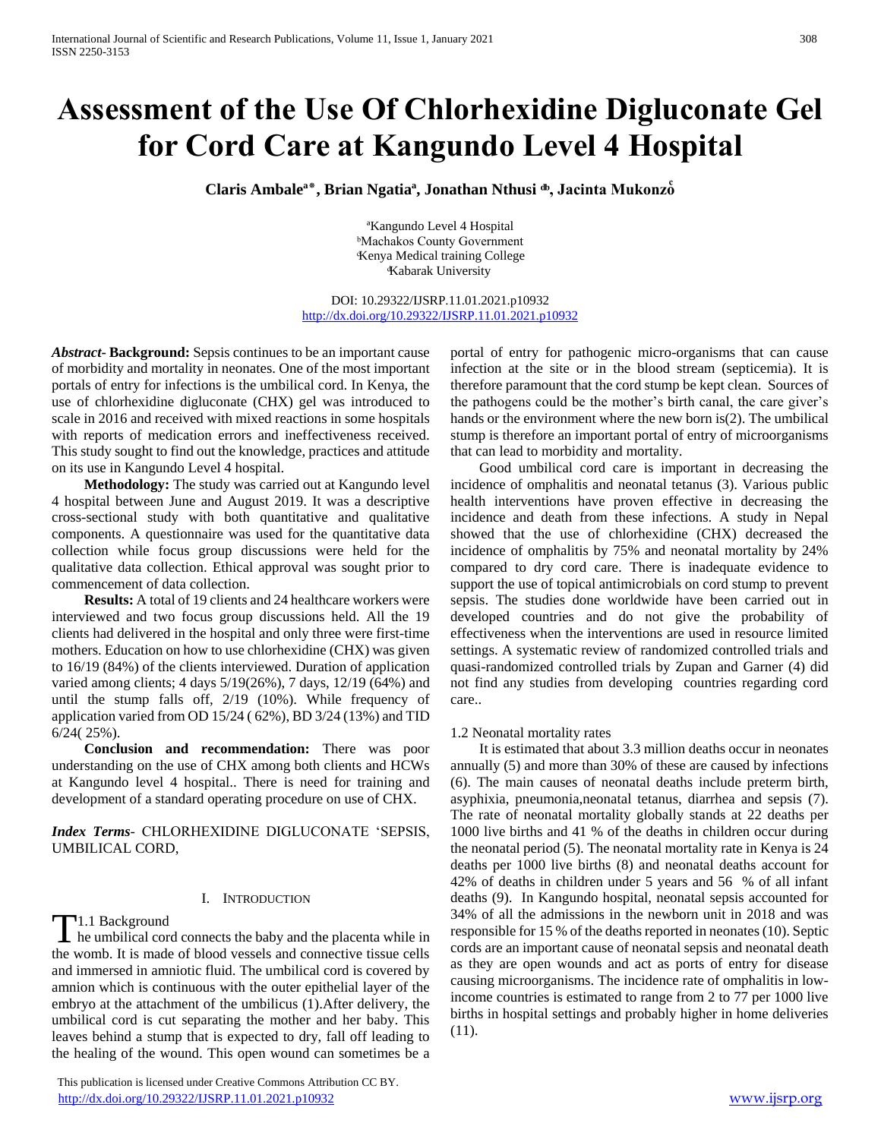# **Assessment of the Use Of Chlorhexidine Digluconate Gel for Cord Care at Kangundo Level 4 Hospital**

Claris Ambale<sup>a\*</sup>, Brian Ngatia<sup>a</sup>, Jonathan Nthusi ®, Jacinta Mukonzo

ªKangundo Level 4 Hospital ᵇMachakos County Government ͨKenya Medical training College ͩKabarak University

DOI: 10.29322/IJSRP.11.01.2021.p10932 <http://dx.doi.org/10.29322/IJSRP.11.01.2021.p10932>

*Abstract***- Background:** Sepsis continues to be an important cause of morbidity and mortality in neonates. One of the most important portals of entry for infections is the umbilical cord. In Kenya, the use of chlorhexidine digluconate (CHX) gel was introduced to scale in 2016 and received with mixed reactions in some hospitals with reports of medication errors and ineffectiveness received. This study sought to find out the knowledge, practices and attitude on its use in Kangundo Level 4 hospital.

 **Methodology:** The study was carried out at Kangundo level 4 hospital between June and August 2019. It was a descriptive cross-sectional study with both quantitative and qualitative components. A questionnaire was used for the quantitative data collection while focus group discussions were held for the qualitative data collection. Ethical approval was sought prior to commencement of data collection.

 **Results:** A total of 19 clients and 24 healthcare workers were interviewed and two focus group discussions held. All the 19 clients had delivered in the hospital and only three were first-time mothers. Education on how to use chlorhexidine (CHX) was given to 16/19 (84%) of the clients interviewed. Duration of application varied among clients; 4 days 5/19(26%), 7 days, 12/19 (64%) and until the stump falls off, 2/19 (10%). While frequency of application varied from OD 15/24 ( 62%), BD 3/24 (13%) and TID 6/24( 25%).

 **Conclusion and recommendation:** There was poor understanding on the use of CHX among both clients and HCWs at Kangundo level 4 hospital.. There is need for training and development of a standard operating procedure on use of CHX.

*Index Terms*- CHLORHEXIDINE DIGLUCONATE 'SEPSIS, UMBILICAL CORD,

## I. INTRODUCTION

1.1 Background

T<sup>1.1</sup> Background<br>he umbilical cord connects the baby and the placenta while in the womb. It is made of blood vessels and connective tissue cells and immersed in amniotic fluid. The umbilical cord is covered by amnion which is continuous with the outer epithelial layer of the embryo at the attachment of the umbilicus (1).After delivery, the umbilical cord is cut separating the mother and her baby. This leaves behind a stump that is expected to dry, fall off leading to the healing of the wound. This open wound can sometimes be a

 This publication is licensed under Creative Commons Attribution CC BY. <http://dx.doi.org/10.29322/IJSRP.11.01.2021.p10932> [www.ijsrp.org](http://ijsrp.org/)

portal of entry for pathogenic micro-organisms that can cause infection at the site or in the blood stream (septicemia). It is therefore paramount that the cord stump be kept clean. Sources of the pathogens could be the mother's birth canal, the care giver's hands or the environment where the new born is(2). The umbilical stump is therefore an important portal of entry of microorganisms that can lead to morbidity and mortality.

 Good umbilical cord care is important in decreasing the incidence of omphalitis and neonatal tetanus (3). Various public health interventions have proven effective in decreasing the incidence and death from these infections. A study in Nepal showed that the use of chlorhexidine (CHX) decreased the incidence of omphalitis by 75% and neonatal mortality by 24% compared to dry cord care. There is inadequate evidence to support the use of topical antimicrobials on cord stump to prevent sepsis. The studies done worldwide have been carried out in developed countries and do not give the probability of effectiveness when the interventions are used in resource limited settings. A systematic review of randomized controlled trials and quasi-randomized controlled trials by Zupan and Garner (4) did not find any studies from developing countries regarding cord care..

#### 1.2 Neonatal mortality rates

 It is estimated that about 3.3 million deaths occur in neonates annually (5) and more than 30% of these are caused by infections (6). The main causes of neonatal deaths include preterm birth, asyphixia, pneumonia,neonatal tetanus, diarrhea and sepsis (7). The rate of neonatal mortality globally stands at 22 deaths per 1000 live births and 41 % of the deaths in children occur during the neonatal period (5). The neonatal mortality rate in Kenya is 24 deaths per 1000 live births (8) and neonatal deaths account for 42% of deaths in children under 5 years and 56 % of all infant deaths (9). In Kangundo hospital, neonatal sepsis accounted for 34% of all the admissions in the newborn unit in 2018 and was responsible for 15 % of the deaths reported in neonates (10). Septic cords are an important cause of neonatal sepsis and neonatal death as they are open wounds and act as ports of entry for disease causing microorganisms. The incidence rate of omphalitis in lowincome countries is estimated to range from 2 to 77 per 1000 live births in hospital settings and probably higher in home deliveries (11).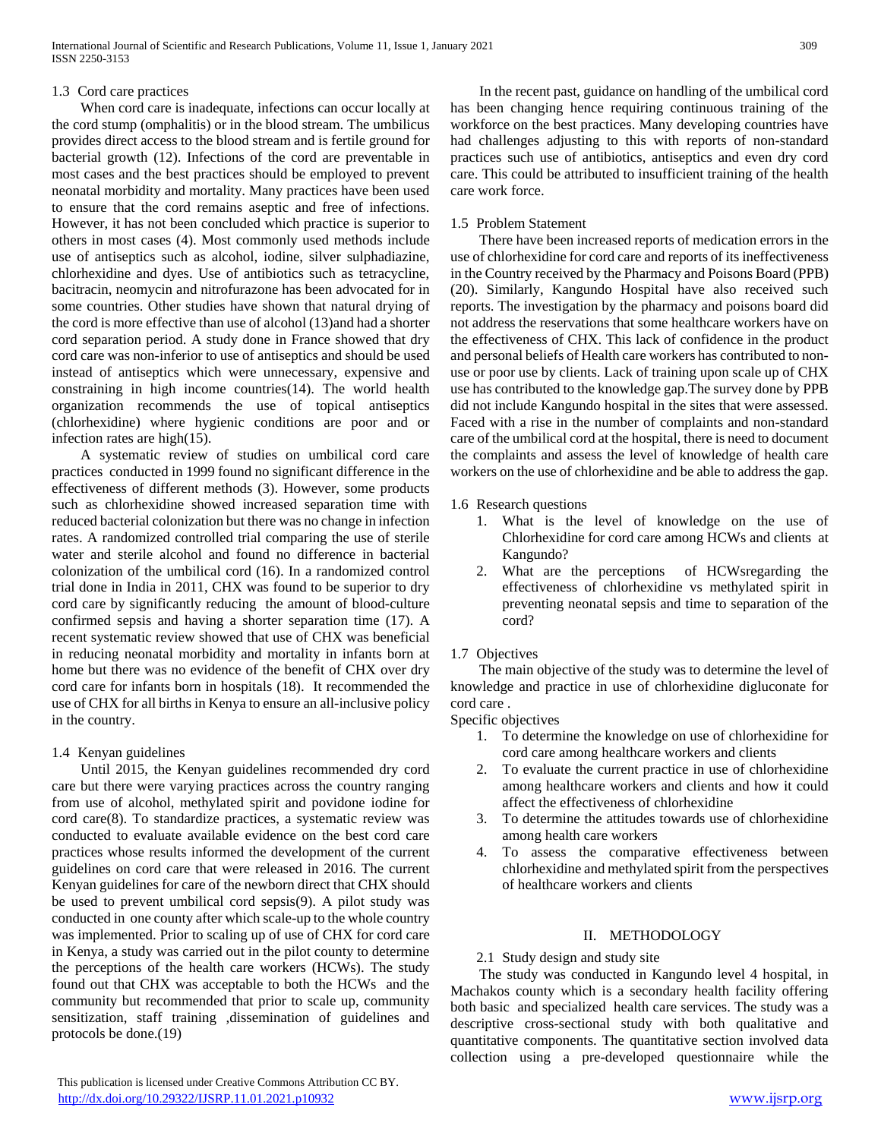## 1.3 Cord care practices

 When cord care is inadequate, infections can occur locally at the cord stump (omphalitis) or in the blood stream. The umbilicus provides direct access to the blood stream and is fertile ground for bacterial growth (12). Infections of the cord are preventable in most cases and the best practices should be employed to prevent neonatal morbidity and mortality. Many practices have been used to ensure that the cord remains aseptic and free of infections. However, it has not been concluded which practice is superior to others in most cases (4). Most commonly used methods include use of antiseptics such as alcohol, iodine, silver sulphadiazine, chlorhexidine and dyes. Use of antibiotics such as tetracycline, bacitracin, neomycin and nitrofurazone has been advocated for in some countries. Other studies have shown that natural drying of the cord is more effective than use of alcohol (13)and had a shorter cord separation period. A study done in France showed that dry cord care was non-inferior to use of antiseptics and should be used instead of antiseptics which were unnecessary, expensive and constraining in high income countries(14). The world health organization recommends the use of topical antiseptics (chlorhexidine) where hygienic conditions are poor and or infection rates are high(15).

 A systematic review of studies on umbilical cord care practices conducted in 1999 found no significant difference in the effectiveness of different methods (3). However, some products such as chlorhexidine showed increased separation time with reduced bacterial colonization but there was no change in infection rates. A randomized controlled trial comparing the use of sterile water and sterile alcohol and found no difference in bacterial colonization of the umbilical cord (16). In a randomized control trial done in India in 2011, CHX was found to be superior to dry cord care by significantly reducing the amount of blood-culture confirmed sepsis and having a shorter separation time (17). A recent systematic review showed that use of CHX was beneficial in reducing neonatal morbidity and mortality in infants born at home but there was no evidence of the benefit of CHX over dry cord care for infants born in hospitals (18). It recommended the use of CHX for all births in Kenya to ensure an all-inclusive policy in the country.

# 1.4 Kenyan guidelines

 Until 2015, the Kenyan guidelines recommended dry cord care but there were varying practices across the country ranging from use of alcohol, methylated spirit and povidone iodine for cord care(8). To standardize practices, a systematic review was conducted to evaluate available evidence on the best cord care practices whose results informed the development of the current guidelines on cord care that were released in 2016. The current Kenyan guidelines for care of the newborn direct that CHX should be used to prevent umbilical cord sepsis(9). A pilot study was conducted in one county after which scale-up to the whole country was implemented. Prior to scaling up of use of CHX for cord care in Kenya, a study was carried out in the pilot county to determine the perceptions of the health care workers (HCWs). The study found out that CHX was acceptable to both the HCWs and the community but recommended that prior to scale up, community sensitization, staff training ,dissemination of guidelines and protocols be done.(19)

 In the recent past, guidance on handling of the umbilical cord has been changing hence requiring continuous training of the workforce on the best practices. Many developing countries have had challenges adjusting to this with reports of non-standard practices such use of antibiotics, antiseptics and even dry cord care. This could be attributed to insufficient training of the health care work force.

#### 1.5 Problem Statement

 There have been increased reports of medication errors in the use of chlorhexidine for cord care and reports of its ineffectiveness in the Country received by the Pharmacy and Poisons Board (PPB) (20). Similarly, Kangundo Hospital have also received such reports. The investigation by the pharmacy and poisons board did not address the reservations that some healthcare workers have on the effectiveness of CHX. This lack of confidence in the product and personal beliefs of Health care workers has contributed to nonuse or poor use by clients. Lack of training upon scale up of CHX use has contributed to the knowledge gap.The survey done by PPB did not include Kangundo hospital in the sites that were assessed. Faced with a rise in the number of complaints and non-standard care of the umbilical cord at the hospital, there is need to document the complaints and assess the level of knowledge of health care workers on the use of chlorhexidine and be able to address the gap.

## 1.6 Research questions

- 1. What is the level of knowledge on the use of Chlorhexidine for cord care among HCWs and clients at Kangundo?
- 2. What are the perceptions of HCWsregarding the effectiveness of chlorhexidine vs methylated spirit in preventing neonatal sepsis and time to separation of the cord?

# 1.7 Objectives

 The main objective of the study was to determine the level of knowledge and practice in use of chlorhexidine digluconate for cord care .

Specific objectives

- 1. To determine the knowledge on use of chlorhexidine for cord care among healthcare workers and clients
- 2. To evaluate the current practice in use of chlorhexidine among healthcare workers and clients and how it could affect the effectiveness of chlorhexidine
- 3. To determine the attitudes towards use of chlorhexidine among health care workers
- 4. To assess the comparative effectiveness between chlorhexidine and methylated spirit from the perspectives of healthcare workers and clients

#### II. METHODOLOGY

# 2.1 Study design and study site

 The study was conducted in Kangundo level 4 hospital, in Machakos county which is a secondary health facility offering both basic and specialized health care services. The study was a descriptive cross-sectional study with both qualitative and quantitative components. The quantitative section involved data collection using a pre-developed questionnaire while the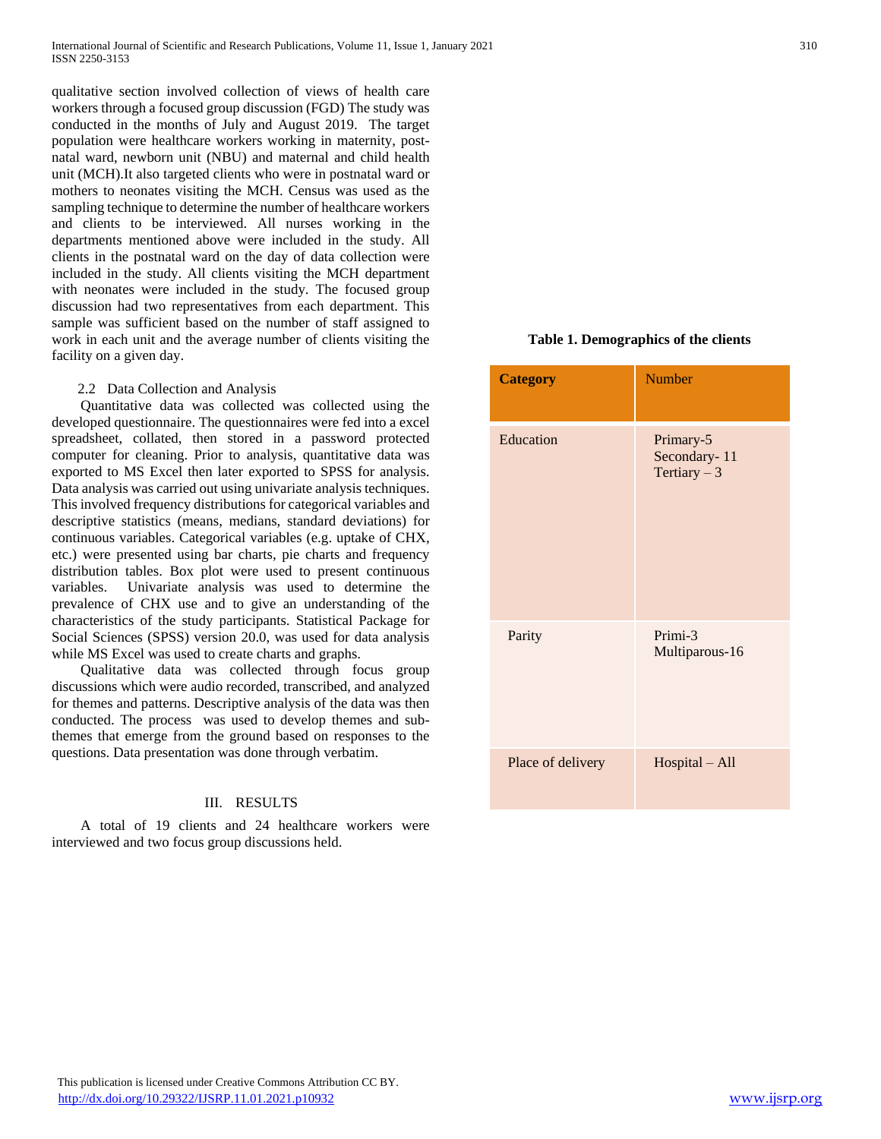qualitative section involved collection of views of health care workers through a focused group discussion (FGD) The study was conducted in the months of July and August 2019. The target population were healthcare workers working in maternity, postnatal ward, newborn unit (NBU) and maternal and child health unit (MCH).It also targeted clients who were in postnatal ward or mothers to neonates visiting the MCH. Census was used as the sampling technique to determine the number of healthcare workers and clients to be interviewed. All nurses working in the departments mentioned above were included in the study. All clients in the postnatal ward on the day of data collection were included in the study. All clients visiting the MCH department with neonates were included in the study. The focused group discussion had two representatives from each department. This sample was sufficient based on the number of staff assigned to work in each unit and the average number of clients visiting the facility on a given day.

#### 2.2 Data Collection and Analysis

 Quantitative data was collected was collected using the developed questionnaire. The questionnaires were fed into a excel spreadsheet, collated, then stored in a password protected computer for cleaning. Prior to analysis, quantitative data was exported to MS Excel then later exported to SPSS for analysis. Data analysis was carried out using univariate analysis techniques. This involved frequency distributions for categorical variables and descriptive statistics (means, medians, standard deviations) for continuous variables. Categorical variables (e.g. uptake of CHX, etc.) were presented using bar charts, pie charts and frequency distribution tables. Box plot were used to present continuous variables. Univariate analysis was used to determine the prevalence of CHX use and to give an understanding of the characteristics of the study participants. Statistical Package for Social Sciences (SPSS) version 20.0, was used for data analysis while MS Excel was used to create charts and graphs.

 Qualitative data was collected through focus group discussions which were audio recorded, transcribed, and analyzed for themes and patterns. Descriptive analysis of the data was then conducted. The process was used to develop themes and subthemes that emerge from the ground based on responses to the questions. Data presentation was done through verbatim.

# III. RESULTS

 A total of 19 clients and 24 healthcare workers were interviewed and two focus group discussions held.

# **Table 1. Demographics of the clients**

| <b>Category</b>   | <b>Number</b>                              |
|-------------------|--------------------------------------------|
| Education         | Primary-5<br>Secondary-11<br>Tertiary $-3$ |
| Parity            | Primi-3<br>Multiparous-16                  |
| Place of delivery | Hospital - All                             |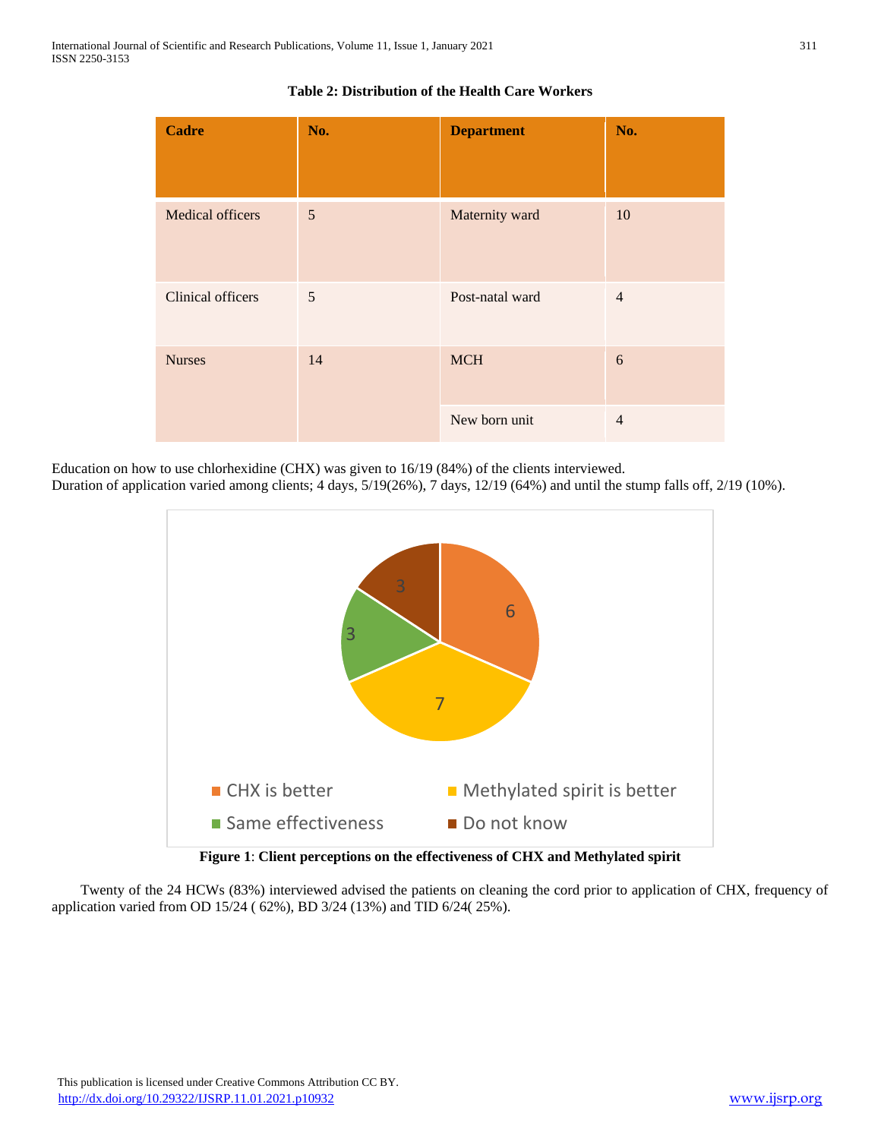| <b>Cadre</b>            | No. | <b>Department</b> | No.            |
|-------------------------|-----|-------------------|----------------|
| <b>Medical officers</b> | 5   | Maternity ward    | 10             |
| Clinical officers       | 5   | Post-natal ward   | $\overline{4}$ |
| <b>Nurses</b><br>14     |     | <b>MCH</b>        | 6              |
|                         |     | New born unit     | $\overline{4}$ |

# **Table 2: Distribution of the Health Care Workers**

Education on how to use chlorhexidine (CHX) was given to 16/19 (84%) of the clients interviewed.

Duration of application varied among clients; 4 days, 5/19(26%), 7 days, 12/19 (64%) and until the stump falls off, 2/19 (10%).



**Figure 1**: **Client perceptions on the effectiveness of CHX and Methylated spirit**

 Twenty of the 24 HCWs (83%) interviewed advised the patients on cleaning the cord prior to application of CHX, frequency of application varied from OD 15/24 ( 62%), BD 3/24 (13%) and TID 6/24( 25%).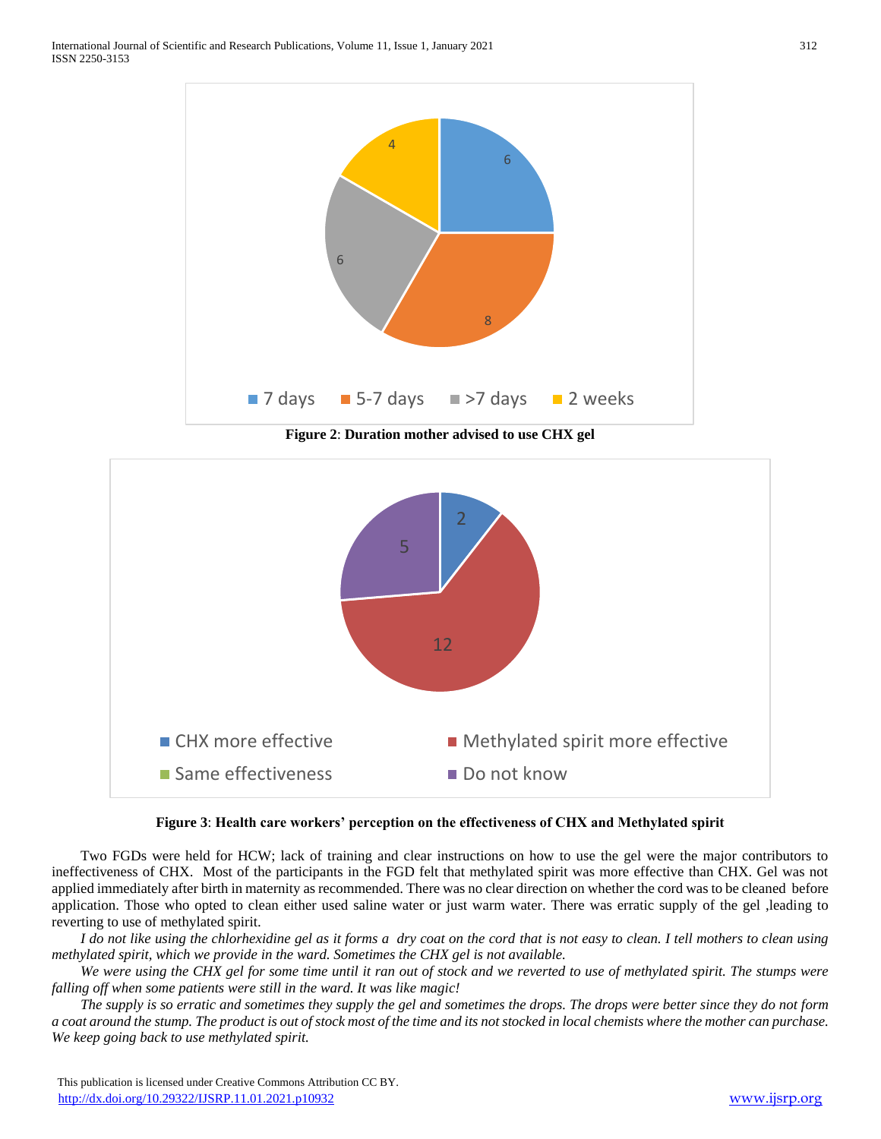

**Figure 2**: **Duration mother advised to use CHX gel**



# **Figure 3**: **Health care workers' perception on the effectiveness of CHX and Methylated spirit**

 Two FGDs were held for HCW; lack of training and clear instructions on how to use the gel were the major contributors to ineffectiveness of CHX. Most of the participants in the FGD felt that methylated spirit was more effective than CHX. Gel was not applied immediately after birth in maternity as recommended. There was no clear direction on whether the cord was to be cleaned before application. Those who opted to clean either used saline water or just warm water. There was erratic supply of the gel ,leading to reverting to use of methylated spirit.

 *I do not like using the chlorhexidine gel as it forms a dry coat on the cord that is not easy to clean. I tell mothers to clean using methylated spirit, which we provide in the ward. Sometimes the CHX gel is not available.*

 *We were using the CHX gel for some time until it ran out of stock and we reverted to use of methylated spirit. The stumps were falling off when some patients were still in the ward. It was like magic!*

 *The supply is so erratic and sometimes they supply the gel and sometimes the drops. The drops were better since they do not form a coat around the stump. The product is out of stock most of the time and its not stocked in local chemists where the mother can purchase. We keep going back to use methylated spirit.*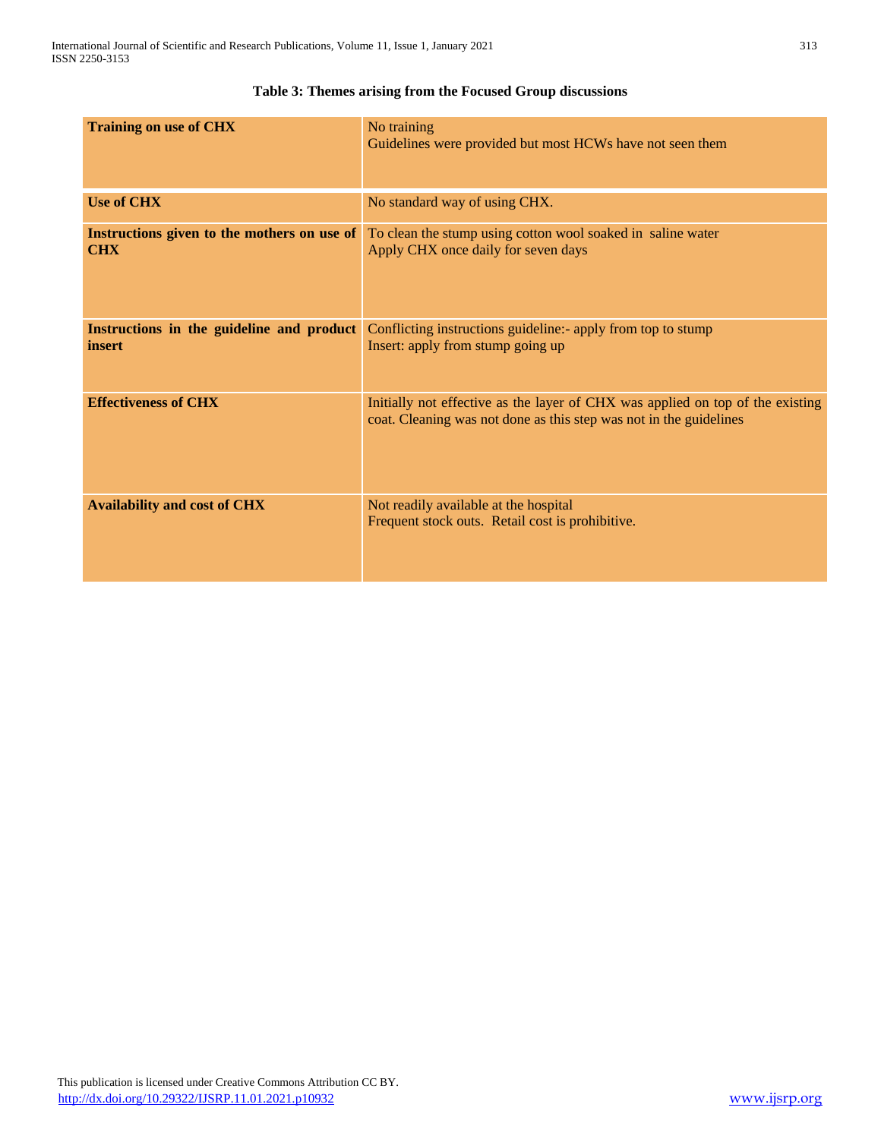| <b>Training on use of CHX</b>                             | No training<br>Guidelines were provided but most HCWs have not seen them                                                                             |
|-----------------------------------------------------------|------------------------------------------------------------------------------------------------------------------------------------------------------|
| <b>Use of CHX</b>                                         | No standard way of using CHX.                                                                                                                        |
| Instructions given to the mothers on use of<br><b>CHX</b> | To clean the stump using cotton wool soaked in saline water<br>Apply CHX once daily for seven days                                                   |
| Instructions in the guideline and product<br>insert       | Conflicting instructions guideline: - apply from top to stump<br>Insert: apply from stump going up                                                   |
| <b>Effectiveness of CHX</b>                               | Initially not effective as the layer of CHX was applied on top of the existing<br>coat. Cleaning was not done as this step was not in the guidelines |
| <b>Availability and cost of CHX</b>                       | Not readily available at the hospital<br>Frequent stock outs. Retail cost is prohibitive.                                                            |

# **Table 3: Themes arising from the Focused Group discussions**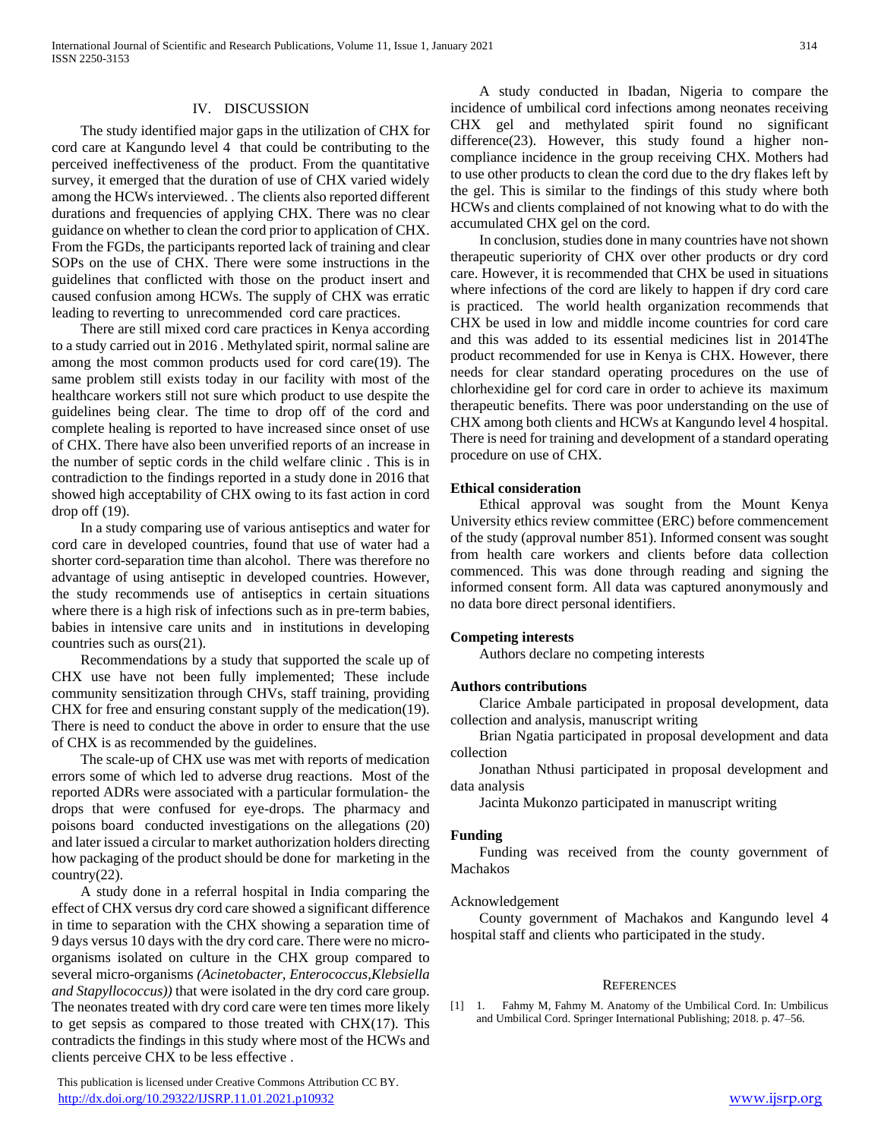#### IV. DISCUSSION

 The study identified major gaps in the utilization of CHX for cord care at Kangundo level 4 that could be contributing to the perceived ineffectiveness of the product. From the quantitative survey, it emerged that the duration of use of CHX varied widely among the HCWs interviewed. . The clients also reported different durations and frequencies of applying CHX. There was no clear guidance on whether to clean the cord prior to application of CHX. From the FGDs, the participants reported lack of training and clear SOPs on the use of CHX. There were some instructions in the guidelines that conflicted with those on the product insert and caused confusion among HCWs. The supply of CHX was erratic leading to reverting to unrecommended cord care practices.

 There are still mixed cord care practices in Kenya according to a study carried out in 2016 . Methylated spirit, normal saline are among the most common products used for cord care(19). The same problem still exists today in our facility with most of the healthcare workers still not sure which product to use despite the guidelines being clear. The time to drop off of the cord and complete healing is reported to have increased since onset of use of CHX. There have also been unverified reports of an increase in the number of septic cords in the child welfare clinic . This is in contradiction to the findings reported in a study done in 2016 that showed high acceptability of CHX owing to its fast action in cord drop off (19).

 In a study comparing use of various antiseptics and water for cord care in developed countries, found that use of water had a shorter cord-separation time than alcohol. There was therefore no advantage of using antiseptic in developed countries. However, the study recommends use of antiseptics in certain situations where there is a high risk of infections such as in pre-term babies, babies in intensive care units and in institutions in developing countries such as ours(21).

 Recommendations by a study that supported the scale up of CHX use have not been fully implemented; These include community sensitization through CHVs, staff training, providing CHX for free and ensuring constant supply of the medication(19). There is need to conduct the above in order to ensure that the use of CHX is as recommended by the guidelines.

 The scale-up of CHX use was met with reports of medication errors some of which led to adverse drug reactions. Most of the reported ADRs were associated with a particular formulation- the drops that were confused for eye-drops. The pharmacy and poisons board conducted investigations on the allegations (20) and later issued a circular to market authorization holders directing how packaging of the product should be done for marketing in the country(22).

 A study done in a referral hospital in India comparing the effect of CHX versus dry cord care showed a significant difference in time to separation with the CHX showing a separation time of 9 days versus 10 days with the dry cord care. There were no microorganisms isolated on culture in the CHX group compared to several micro-organisms *(Acinetobacter, Enterococcus,Klebsiella and Stapyllococcus))* that were isolated in the dry cord care group. The neonates treated with dry cord care were ten times more likely to get sepsis as compared to those treated with CHX(17). This contradicts the findings in this study where most of the HCWs and clients perceive CHX to be less effective .

 This publication is licensed under Creative Commons Attribution CC BY. <http://dx.doi.org/10.29322/IJSRP.11.01.2021.p10932> [www.ijsrp.org](http://ijsrp.org/)

 A study conducted in Ibadan, Nigeria to compare the incidence of umbilical cord infections among neonates receiving CHX gel and methylated spirit found no significant difference(23). However, this study found a higher noncompliance incidence in the group receiving CHX. Mothers had to use other products to clean the cord due to the dry flakes left by the gel. This is similar to the findings of this study where both HCWs and clients complained of not knowing what to do with the accumulated CHX gel on the cord.

 In conclusion, studies done in many countries have not shown therapeutic superiority of CHX over other products or dry cord care. However, it is recommended that CHX be used in situations where infections of the cord are likely to happen if dry cord care is practiced. The world health organization recommends that CHX be used in low and middle income countries for cord care and this was added to its essential medicines list in 2014The product recommended for use in Kenya is CHX. However, there needs for clear standard operating procedures on the use of chlorhexidine gel for cord care in order to achieve its maximum therapeutic benefits. There was poor understanding on the use of CHX among both clients and HCWs at Kangundo level 4 hospital. There is need for training and development of a standard operating procedure on use of CHX.

#### **Ethical consideration**

 Ethical approval was sought from the Mount Kenya University ethics review committee (ERC) before commencement of the study (approval number 851). Informed consent was sought from health care workers and clients before data collection commenced. This was done through reading and signing the informed consent form. All data was captured anonymously and no data bore direct personal identifiers.

#### **Competing interests**

Authors declare no competing interests

#### **Authors contributions**

 Clarice Ambale participated in proposal development, data collection and analysis, manuscript writing

 Brian Ngatia participated in proposal development and data collection

 Jonathan Nthusi participated in proposal development and data analysis

Jacinta Mukonzo participated in manuscript writing

#### **Funding**

 Funding was received from the county government of Machakos

#### Acknowledgement

 County government of Machakos and Kangundo level 4 hospital staff and clients who participated in the study.

#### **REFERENCES**

[1] 1. Fahmy M, Fahmy M. Anatomy of the Umbilical Cord. In: Umbilicus and Umbilical Cord. Springer International Publishing; 2018. p. 47–56.